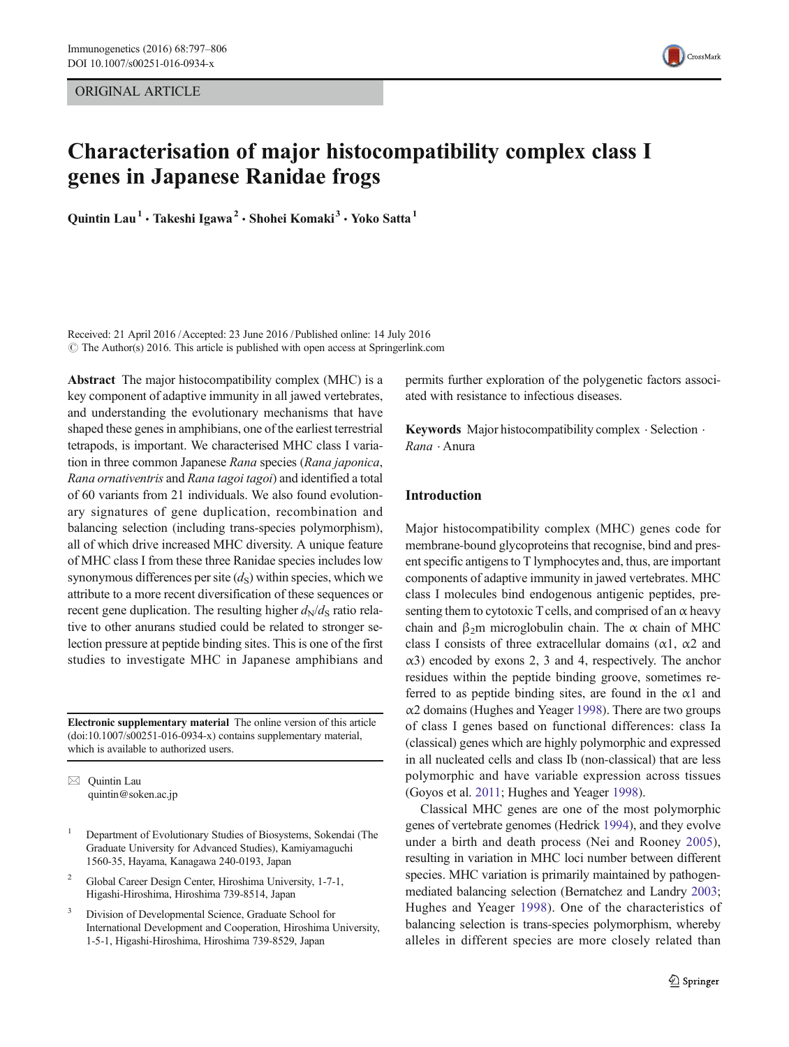ORIGINAL ARTICLE



# Characterisation of major histocompatibility complex class I genes in Japanese Ranidae frogs

Quintin Lau<sup>1</sup> · Takeshi Igawa<sup>2</sup> · Shohei Komaki<sup>3</sup> · Yoko Satta<sup>1</sup>

Received: 21 April 2016 /Accepted: 23 June 2016 /Published online: 14 July 2016  $\odot$  The Author(s) 2016. This article is published with open access at Springerlink.com

Abstract The major histocompatibility complex (MHC) is a key component of adaptive immunity in all jawed vertebrates, and understanding the evolutionary mechanisms that have shaped these genes in amphibians, one of the earliest terrestrial tetrapods, is important. We characterised MHC class I variation in three common Japanese Rana species (Rana japonica, Rana ornativentris and Rana tagoi tagoi) and identified a total of 60 variants from 21 individuals. We also found evolutionary signatures of gene duplication, recombination and balancing selection (including trans-species polymorphism), all of which drive increased MHC diversity. A unique feature of MHC class I from these three Ranidae species includes low synonymous differences per site  $(d<sub>S</sub>)$  within species, which we attribute to a more recent diversification of these sequences or recent gene duplication. The resulting higher  $d_N/d_S$  ratio relative to other anurans studied could be related to stronger selection pressure at peptide binding sites. This is one of the first studies to investigate MHC in Japanese amphibians and

Electronic supplementary material The online version of this article (doi[:10.1007/s00251-016-0934-x](http://dx.doi.org/10.1007/s00251-016-0934-x)) contains supplementary material, which is available to authorized users.

 $\boxtimes$  Quintin Lau quintin@soken.ac.jp

- <sup>1</sup> Department of Evolutionary Studies of Biosystems, Sokendai (The Graduate University for Advanced Studies), Kamiyamaguchi 1560-35, Hayama, Kanagawa 240-0193, Japan
- <sup>2</sup> Global Career Design Center, Hiroshima University, 1-7-1, Higashi-Hiroshima, Hiroshima 739-8514, Japan
- Division of Developmental Science, Graduate School for International Development and Cooperation, Hiroshima University, 1-5-1, Higashi-Hiroshima, Hiroshima 739-8529, Japan

permits further exploration of the polygenetic factors associated with resistance to infectious diseases.

Keywords Major histocompatibility complex  $\cdot$  Selection  $\cdot$ Rana . Anura

# Introduction

Major histocompatibility complex (MHC) genes code for membrane-bound glycoproteins that recognise, bind and present specific antigens to T lymphocytes and, thus, are important components of adaptive immunity in jawed vertebrates. MHC class I molecules bind endogenous antigenic peptides, presenting them to cytotoxic T cells, and comprised of an  $\alpha$  heavy chain and β<sub>2</sub>m microglobulin chain. The α chain of MHC class I consists of three extracellular domains ( $\alpha$ 1,  $\alpha$ 2 and  $\alpha$ 3) encoded by exons 2, 3 and 4, respectively. The anchor residues within the peptide binding groove, sometimes referred to as peptide binding sites, are found in the  $\alpha$ 1 and  $\alpha$ 2 domains (Hughes and Yeager [1998\)](#page-8-0). There are two groups of class I genes based on functional differences: class Ia (classical) genes which are highly polymorphic and expressed in all nucleated cells and class Ib (non-classical) that are less polymorphic and have variable expression across tissues (Goyos et al. [2011](#page-8-0); Hughes and Yeager [1998\)](#page-8-0).

Classical MHC genes are one of the most polymorphic genes of vertebrate genomes (Hedrick [1994\)](#page-8-0), and they evolve under a birth and death process (Nei and Rooney [2005](#page-9-0)), resulting in variation in MHC loci number between different species. MHC variation is primarily maintained by pathogenmediated balancing selection (Bernatchez and Landry [2003;](#page-8-0) Hughes and Yeager [1998](#page-8-0)). One of the characteristics of balancing selection is trans-species polymorphism, whereby alleles in different species are more closely related than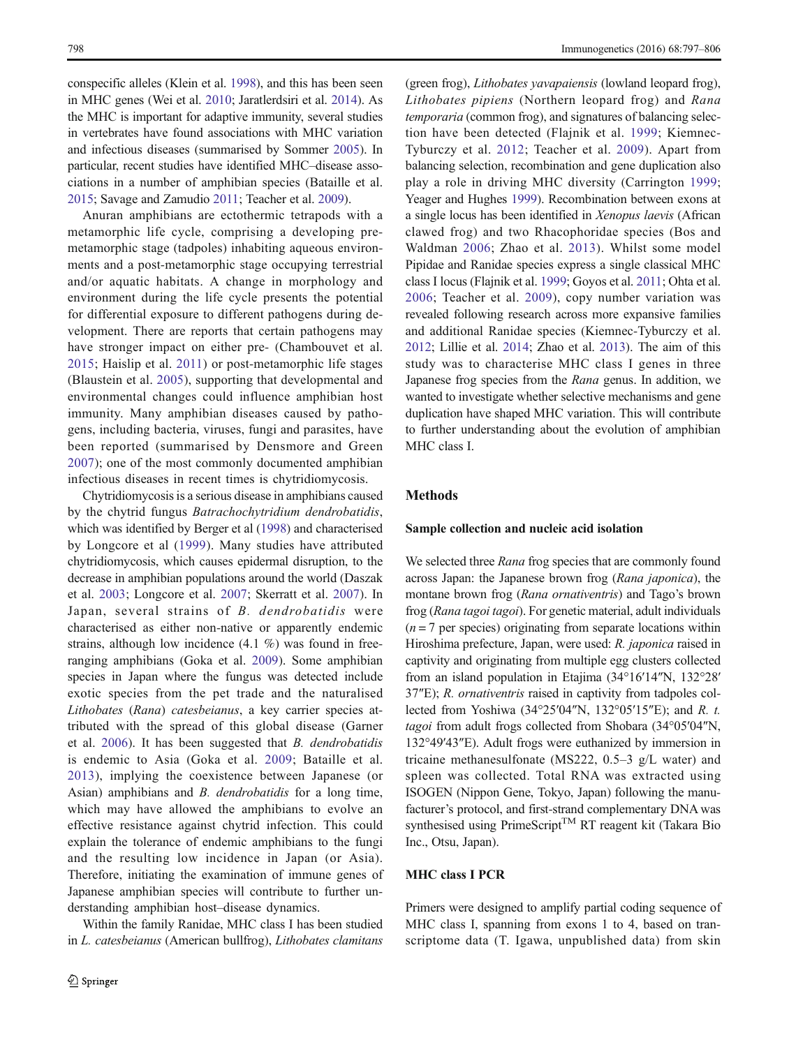conspecific alleles (Klein et al. [1998](#page-9-0)), and this has been seen in MHC genes (Wei et al. [2010;](#page-9-0) Jaratlerdsiri et al. [2014\)](#page-9-0). As the MHC is important for adaptive immunity, several studies in vertebrates have found associations with MHC variation and infectious diseases (summarised by Sommer [2005\)](#page-9-0). In particular, recent studies have identified MHC–disease associations in a number of amphibian species (Bataille et al. [2015;](#page-8-0) Savage and Zamudio [2011](#page-9-0); Teacher et al. [2009\)](#page-9-0).

Anuran amphibians are ectothermic tetrapods with a metamorphic life cycle, comprising a developing premetamorphic stage (tadpoles) inhabiting aqueous environments and a post-metamorphic stage occupying terrestrial and/or aquatic habitats. A change in morphology and environment during the life cycle presents the potential for differential exposure to different pathogens during development. There are reports that certain pathogens may have stronger impact on either pre- (Chambouvet et al. [2015](#page-8-0); Haislip et al. [2011](#page-8-0)) or post-metamorphic life stages (Blaustein et al. [2005\)](#page-8-0), supporting that developmental and environmental changes could influence amphibian host immunity. Many amphibian diseases caused by pathogens, including bacteria, viruses, fungi and parasites, have been reported (summarised by Densmore and Green [2007](#page-8-0)); one of the most commonly documented amphibian infectious diseases in recent times is chytridiomycosis.

Chytridiomycosis is a serious disease in amphibians caused by the chytrid fungus Batrachochytridium dendrobatidis, which was identified by Berger et al ([1998](#page-8-0)) and characterised by Longcore et al ([1999\)](#page-9-0). Many studies have attributed chytridiomycosis, which causes epidermal disruption, to the decrease in amphibian populations around the world (Daszak et al. [2003;](#page-8-0) Longcore et al. [2007;](#page-9-0) Skerratt et al. [2007\)](#page-9-0). In Japan, several strains of B. dendrobatidis were characterised as either non-native or apparently endemic strains, although low incidence (4.1 %) was found in freeranging amphibians (Goka et al. [2009](#page-8-0)). Some amphibian species in Japan where the fungus was detected include exotic species from the pet trade and the naturalised Lithobates (Rana) catesbeianus, a key carrier species attributed with the spread of this global disease (Garner et al. [2006\)](#page-8-0). It has been suggested that B. dendrobatidis is endemic to Asia (Goka et al. [2009;](#page-8-0) Bataille et al. [2013\)](#page-8-0), implying the coexistence between Japanese (or Asian) amphibians and B. dendrobatidis for a long time, which may have allowed the amphibians to evolve an effective resistance against chytrid infection. This could explain the tolerance of endemic amphibians to the fungi and the resulting low incidence in Japan (or Asia). Therefore, initiating the examination of immune genes of Japanese amphibian species will contribute to further understanding amphibian host–disease dynamics.

Within the family Ranidae, MHC class I has been studied in L. catesbeianus (American bullfrog), Lithobates clamitans (green frog), Lithobates yavapaiensis (lowland leopard frog), Lithobates pipiens (Northern leopard frog) and Rana temporaria (common frog), and signatures of balancing selection have been detected (Flajnik et al. [1999;](#page-8-0) Kiemnec-Tyburczy et al. [2012](#page-9-0); Teacher et al. [2009\)](#page-9-0). Apart from balancing selection, recombination and gene duplication also play a role in driving MHC diversity (Carrington [1999;](#page-8-0) Yeager and Hughes [1999\)](#page-9-0). Recombination between exons at a single locus has been identified in Xenopus laevis (African clawed frog) and two Rhacophoridae species (Bos and Waldman [2006;](#page-8-0) Zhao et al. [2013](#page-9-0)). Whilst some model Pipidae and Ranidae species express a single classical MHC class I locus (Flajnik et al. [1999;](#page-8-0) Goyos et al. [2011;](#page-8-0) Ohta et al. [2006](#page-9-0); Teacher et al. [2009](#page-9-0)), copy number variation was revealed following research across more expansive families and additional Ranidae species (Kiemnec-Tyburczy et al. [2012;](#page-9-0) Lillie et al. [2014](#page-9-0); Zhao et al. [2013](#page-9-0)). The aim of this study was to characterise MHC class I genes in three Japanese frog species from the Rana genus. In addition, we wanted to investigate whether selective mechanisms and gene duplication have shaped MHC variation. This will contribute to further understanding about the evolution of amphibian MHC class I.

## Methods

#### Sample collection and nucleic acid isolation

We selected three Rana frog species that are commonly found across Japan: the Japanese brown frog (Rana japonica), the montane brown frog (Rana ornativentris) and Tago's brown frog (Rana tagoi tagoi). For genetic material, adult individuals  $(n = 7$  per species) originating from separate locations within Hiroshima prefecture, Japan, were used: R. japonica raised in captivity and originating from multiple egg clusters collected from an island population in Etajima (34°16′14″N, 132°28′ 37″E); R. ornativentris raised in captivity from tadpoles collected from Yoshiwa (34°25′04″N, 132°05′15″E); and R. t. tagoi from adult frogs collected from Shobara (34°05′04″N, 132°49′43″E). Adult frogs were euthanized by immersion in tricaine methanesulfonate (MS222, 0.5–3 g/L water) and spleen was collected. Total RNA was extracted using ISOGEN (Nippon Gene, Tokyo, Japan) following the manufacturer's protocol, and first-strand complementary DNA was synthesised using PrimeScript<sup>TM</sup> RT reagent kit (Takara Bio Inc., Otsu, Japan).

#### MHC class I PCR

Primers were designed to amplify partial coding sequence of MHC class I, spanning from exons 1 to 4, based on transcriptome data (T. Igawa, unpublished data) from skin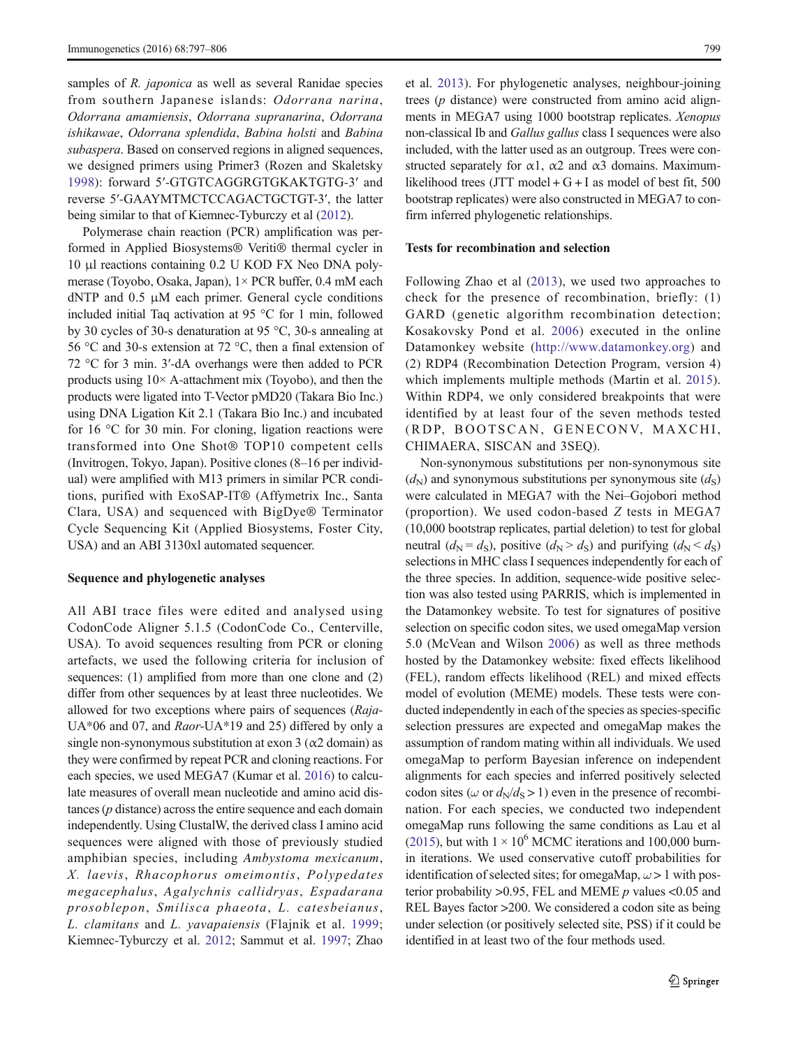samples of R. *japonica* as well as several Ranidae species from southern Japanese islands: Odorrana narina, Odorrana amamiensis, Odorrana supranarina, Odorrana ishikawae, Odorrana splendida, Babina holsti and Babina subaspera. Based on conserved regions in aligned sequences, we designed primers using Primer3 (Rozen and Skaletsky [1998](#page-9-0)): forward 5′-GTGTCAGGRGTGKAKTGTG-3′ and reverse 5′-GAAYMTMCTCCAGACTGCTGT-3′, the latter being similar to that of Kiemnec-Tyburczy et al [\(2012\)](#page-9-0).

Polymerase chain reaction (PCR) amplification was performed in Applied Biosystems® Veriti® thermal cycler in 10 μl reactions containing 0.2 U KOD FX Neo DNA polymerase (Toyobo, Osaka, Japan), 1× PCR buffer, 0.4 mM each dNTP and  $0.5 \mu M$  each primer. General cycle conditions included initial Taq activation at 95 °C for 1 min, followed by 30 cycles of 30-s denaturation at 95 °C, 30-s annealing at 56 °C and 30-s extension at 72 °C, then a final extension of 72 °C for 3 min. 3′-dA overhangs were then added to PCR products using  $10 \times A$ -attachment mix (Toyobo), and then the products were ligated into T-Vector pMD20 (Takara Bio Inc.) using DNA Ligation Kit 2.1 (Takara Bio Inc.) and incubated for 16 °C for 30 min. For cloning, ligation reactions were transformed into One Shot® TOP10 competent cells (Invitrogen, Tokyo, Japan). Positive clones (8–16 per individual) were amplified with M13 primers in similar PCR conditions, purified with ExoSAP-IT® (Affymetrix Inc., Santa Clara, USA) and sequenced with BigDye® Terminator Cycle Sequencing Kit (Applied Biosystems, Foster City, USA) and an ABI 3130xl automated sequencer.

#### Sequence and phylogenetic analyses

All ABI trace files were edited and analysed using CodonCode Aligner 5.1.5 (CodonCode Co., Centerville, USA). To avoid sequences resulting from PCR or cloning artefacts, we used the following criteria for inclusion of sequences: (1) amplified from more than one clone and (2) differ from other sequences by at least three nucleotides. We allowed for two exceptions where pairs of sequences (Raja-UA\*06 and 07, and Raor-UA\*19 and 25) differed by only a single non-synonymous substitution at exon 3 ( $\alpha$ 2 domain) as they were confirmed by repeat PCR and cloning reactions. For each species, we used MEGA7 (Kumar et al. [2016\)](#page-9-0) to calculate measures of overall mean nucleotide and amino acid distances ( $p$  distance) across the entire sequence and each domain independently. Using ClustalW, the derived class I amino acid sequences were aligned with those of previously studied amphibian species, including Ambystoma mexicanum, X. laevis, Rhacophorus omeimontis, Polypedates megacephalus, Agalychnis callidryas, Espadarana prosoblepon, Smilisca phaeota, L. catesbeianus, L. clamitans and L. yavapaiensis (Flajnik et al. [1999](#page-8-0); Kiemnec-Tyburczy et al. [2012](#page-9-0); Sammut et al. [1997](#page-9-0); Zhao

et al. [2013](#page-9-0)). For phylogenetic analyses, neighbour-joining trees (p distance) were constructed from amino acid alignments in MEGA7 using 1000 bootstrap replicates. Xenopus non-classical Ib and Gallus gallus class I sequences were also included, with the latter used as an outgroup. Trees were constructed separately for  $\alpha$ 1,  $\alpha$ 2 and  $\alpha$ 3 domains. Maximumlikelihood trees (JTT model +  $G + I$  as model of best fit, 500 bootstrap replicates) were also constructed in MEGA7 to confirm inferred phylogenetic relationships.

#### Tests for recombination and selection

Following Zhao et al ([2013](#page-9-0)), we used two approaches to check for the presence of recombination, briefly: (1) GARD (genetic algorithm recombination detection; Kosakovsky Pond et al. [2006](#page-9-0)) executed in the online Datamonkey website ([http://www.datamonkey.org](http://www.datamonkey.org/)) and (2) RDP4 (Recombination Detection Program, version 4) which implements multiple methods (Martin et al. [2015](#page-9-0)). Within RDP4, we only considered breakpoints that were identified by at least four of the seven methods tested (RDP, BOOTSCAN, GENECONV, MAXCHI, CHIMAERA, SISCAN and 3SEQ).

Non-synonymous substitutions per non-synonymous site  $(d_N)$  and synonymous substitutions per synonymous site  $(d_S)$ were calculated in MEGA7 with the Nei–Gojobori method (proportion). We used codon-based Z tests in MEGA7 (10,000 bootstrap replicates, partial deletion) to test for global neutral  $(d_N = d_S)$ , positive  $(d_N > d_S)$  and purifying  $(d_N < d_S)$ selections in MHC class I sequences independently for each of the three species. In addition, sequence-wide positive selection was also tested using PARRIS, which is implemented in the Datamonkey website. To test for signatures of positive selection on specific codon sites, we used omegaMap version 5.0 (McVean and Wilson [2006](#page-9-0)) as well as three methods hosted by the Datamonkey website: fixed effects likelihood (FEL), random effects likelihood (REL) and mixed effects model of evolution (MEME) models. These tests were conducted independently in each of the species as species-specific selection pressures are expected and omegaMap makes the assumption of random mating within all individuals. We used omegaMap to perform Bayesian inference on independent alignments for each species and inferred positively selected codon sites ( $\omega$  or  $d_N/d_S > 1$ ) even in the presence of recombination. For each species, we conducted two independent omegaMap runs following the same conditions as Lau et al [\(2015\)](#page-9-0), but with  $1 \times 10^6$  MCMC iterations and 100,000 burnin iterations. We used conservative cutoff probabilities for identification of selected sites; for omegaMap,  $\omega > 1$  with posterior probability  $>0.95$ , FEL and MEME p values <0.05 and REL Bayes factor >200. We considered a codon site as being under selection (or positively selected site, PSS) if it could be identified in at least two of the four methods used.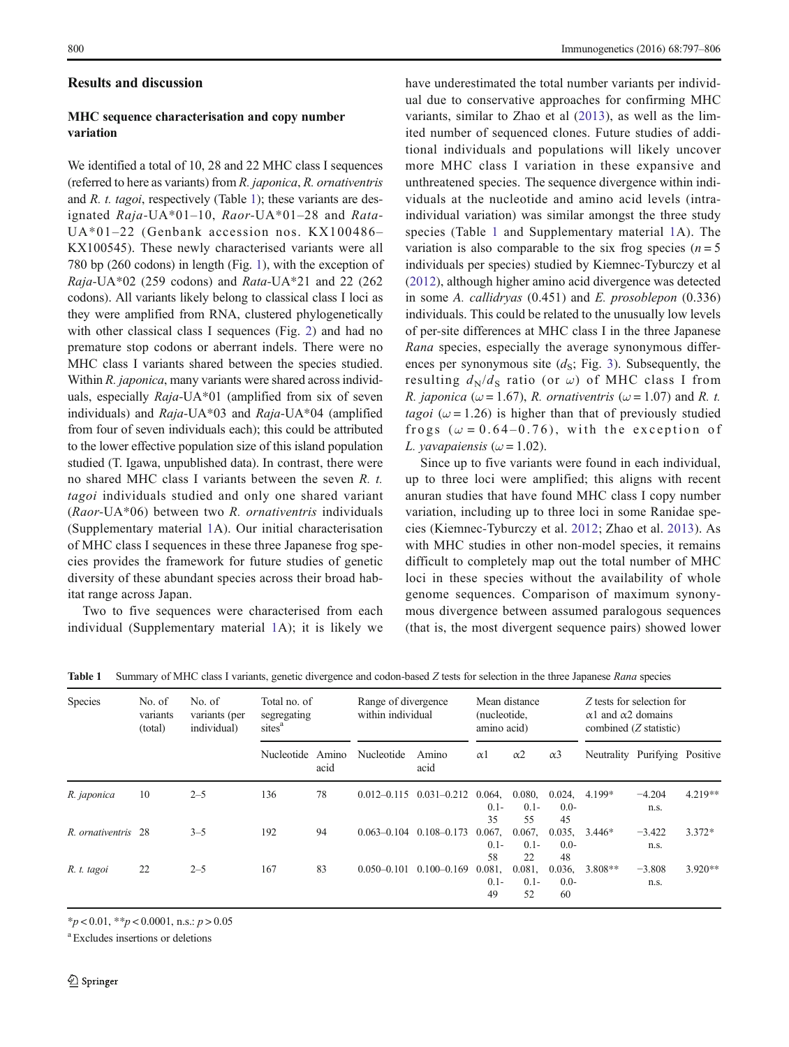#### <span id="page-3-0"></span>Results and discussion

# MHC sequence characterisation and copy number variation

We identified a total of 10, 28 and 22 MHC class I sequences (referred to here as variants) from R. japonica, R. ornativentris and *R. t. tagoi*, respectively (Table 1); these variants are designated  $Raja-UA*01-10$ ,  $Raor-UA*01-28$  and  $Rata-$ UA\*01–22 (Genbank accession nos. KX100486– KX100545). These newly characterised variants were all 780 bp (260 codons) in length (Fig. [1](#page-4-0)), with the exception of  $Raja-UA*02$  (259 codons) and  $Rata-UA*21$  and 22 (262 codons). All variants likely belong to classical class I loci as they were amplified from RNA, clustered phylogenetically with other classical class I sequences (Fig. [2\)](#page-5-0) and had no premature stop codons or aberrant indels. There were no MHC class I variants shared between the species studied. Within R. japonica, many variants were shared across individuals, especially Raja-UA\*01 (amplified from six of seven individuals) and Raja-UA\*03 and Raja-UA\*04 (amplified from four of seven individuals each); this could be attributed to the lower effective population size of this island population studied (T. Igawa, unpublished data). In contrast, there were no shared MHC class I variants between the seven R. t. tagoi individuals studied and only one shared variant (Raor-UA\*06) between two R. ornativentris individuals (Supplementary material 1A). Our initial characterisation of MHC class I sequences in these three Japanese frog species provides the framework for future studies of genetic diversity of these abundant species across their broad habitat range across Japan.

Two to five sequences were characterised from each individual (Supplementary material 1A); it is likely we have underestimated the total number variants per individual due to conservative approaches for confirming MHC variants, similar to Zhao et al ([2013](#page-9-0)), as well as the limited number of sequenced clones. Future studies of additional individuals and populations will likely uncover more MHC class I variation in these expansive and unthreatened species. The sequence divergence within individuals at the nucleotide and amino acid levels (intraindividual variation) was similar amongst the three study species (Table 1 and Supplementary material 1A). The variation is also comparable to the six frog species ( $n = 5$ ) individuals per species) studied by Kiemnec-Tyburczy et al [\(2012](#page-9-0)), although higher amino acid divergence was detected in some A. *callidryas*  $(0.451)$  and *E. prosoblepon*  $(0.336)$ individuals. This could be related to the unusually low levels of per-site differences at MHC class I in the three Japanese Rana species, especially the average synonymous differences per synonymous site  $(d_s; Fig. 3)$  $(d_s; Fig. 3)$  $(d_s; Fig. 3)$ . Subsequently, the resulting  $d_N/d_S$  ratio (or  $\omega$ ) of MHC class I from R. japonica ( $\omega$  = 1.67), R. ornativentris ( $\omega$  = 1.07) and R. t. tagoi ( $\omega$  = 1.26) is higher than that of previously studied frogs  $(\omega = 0.64 - 0.76)$ , with the exception of L. yavapaiensis ( $\omega$  = 1.02).

Since up to five variants were found in each individual, up to three loci were amplified; this aligns with recent anuran studies that have found MHC class I copy number variation, including up to three loci in some Ranidae species (Kiemnec-Tyburczy et al. [2012;](#page-9-0) Zhao et al. [2013](#page-9-0)). As with MHC studies in other non-model species, it remains difficult to completely map out the total number of MHC loci in these species without the availability of whole genome sequences. Comparison of maximum synonymous divergence between assumed paralogous sequences (that is, the most divergent sequence pairs) showed lower

| Species             | No. of<br>variants<br>(total) | No. of<br>variants (per<br>individual) | Total no. of<br>segregating<br>sites <sup>a</sup> |               | Range of divergence<br>within individual |                 | (nucleotide,<br>amino acid) | Mean distance           |                         | $\alpha$ 1 and $\alpha$ 2 domains | Z tests for selection for<br>combined (Z statistic) |           |
|---------------------|-------------------------------|----------------------------------------|---------------------------------------------------|---------------|------------------------------------------|-----------------|-----------------------------|-------------------------|-------------------------|-----------------------------------|-----------------------------------------------------|-----------|
|                     |                               |                                        | Nucleotide                                        | Amino<br>acid | Nucleotide                               | Amino<br>acid   | $\alpha$ 1                  | $\alpha$ 2              | $\alpha$ <sup>3</sup>   |                                   | Neutrality Purifying Positive                       |           |
| R. japonica         | 10                            | $2 - 5$                                | 136                                               | 78            | $0.012 - 0.115$                          | $0.031 - 0.212$ | 0.064.<br>$0.1 -$<br>35     | 0.080.<br>$0.1 -$<br>55 | 0.024.<br>$0.0 -$<br>45 | $4.199*$                          | $-4.204$<br>n.s.                                    | $4.219**$ |
| R. ornativentris 28 |                               | $3 - 5$                                | 192                                               | 94            | $0.063 - 0.104$                          | $0.108 - 0.173$ | 0.067,<br>$0.1 -$<br>58     | 0.067,<br>$0.1 -$<br>22 | 0.035,<br>$0.0-$<br>48  | 3.446*                            | $-3.422$<br>n.s.                                    | $3.372*$  |
| R. t. tagoi         | 22                            | $2 - 5$                                | 167                                               | 83            | $0.050 - 0.101$                          | $0.100 - 0.169$ | 0.081,<br>$0.1 -$<br>49     | 0.081.<br>$0.1 -$<br>52 | 0.036,<br>$0.0-$<br>60  | $3.808**$                         | $-3.808$<br>n.s.                                    | $3.920**$ |

Table 1 Summary of MHC class I variants, genetic divergence and codon-based Z tests for selection in the three Japanese Rana species

 $**p* < 0.01, ***p* < 0.0001, n.s.: *p* > 0.05$ 

a Excludes insertions or deletions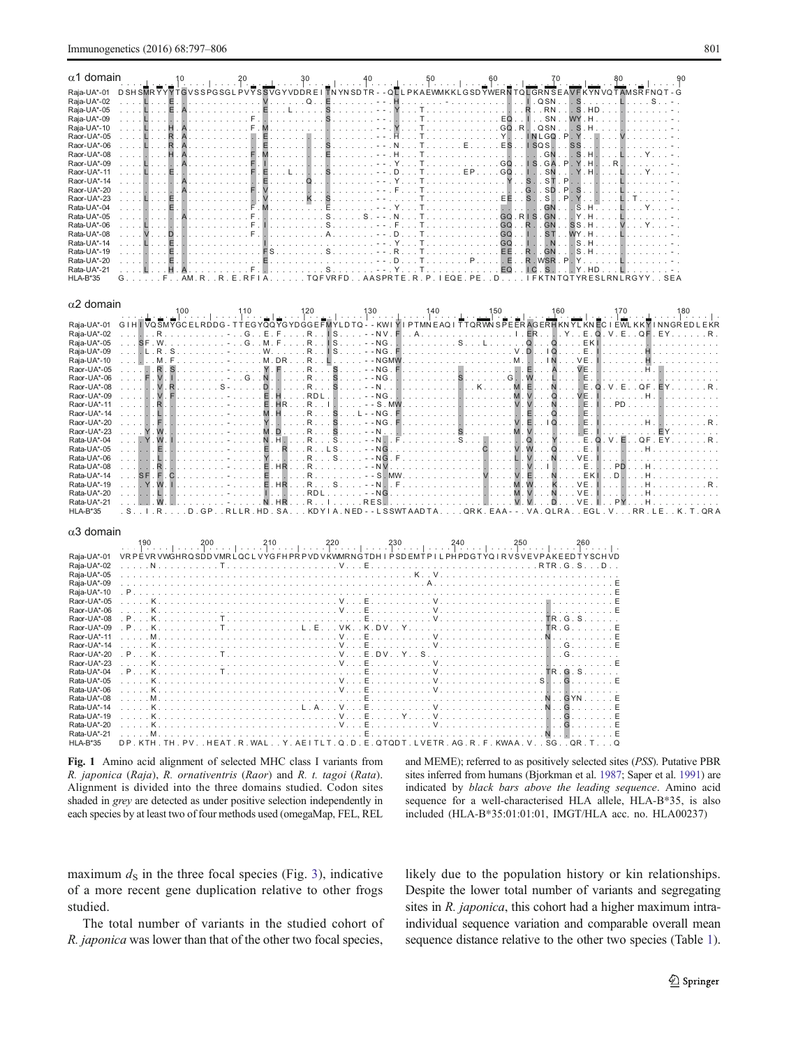<span id="page-4-0"></span>

| $\alpha$ 1 domain                                                                                                                                                                                                                                                                                                                     |                               |                                                                                                                                                                                                                                                                                                                                                                                                                                |  |  |                                                                                                                                                                                                                                                                 |  |
|---------------------------------------------------------------------------------------------------------------------------------------------------------------------------------------------------------------------------------------------------------------------------------------------------------------------------------------|-------------------------------|--------------------------------------------------------------------------------------------------------------------------------------------------------------------------------------------------------------------------------------------------------------------------------------------------------------------------------------------------------------------------------------------------------------------------------|--|--|-----------------------------------------------------------------------------------------------------------------------------------------------------------------------------------------------------------------------------------------------------------------|--|
| Raia-UA*-01<br>Raja-UA*-02<br>Raja-UA*-05<br>Raja-UA*-09<br>Raja-UA*-10<br>Raor-UA*-05<br>Raor-UA*-06<br>Raor-UA*-08<br>Raor-UA*-09<br>Raor-UA*-11<br>Raor-UA*-14<br>Raor-UA*-20<br>Raor-UA*-23<br>Rata-UA*-04<br>Rata-UA*-05<br>Rata-UA*-06<br>Rata-UA*-08<br>Rata-UA*-14<br>Rata-UA*-19<br>Rata-UA*-20<br>Rata-UA*-21<br>$HLA-B*35$ | $DSH$ SMR $\overline{Y}$<br>. |                                                                                                                                                                                                                                                                                                                                                                                                                                |  |  | DISTRIBUTE AND LONGITY CONSISTERED TO UP A ENGINEERING THE CONSISTER TO UP A EXAMPLE AND LONGITION CONSISTENT CONSISTENT ON A SHOPLAY CONSISTENT ON A SHOPLAY CONSISTENT ON A SHOPLAY CONSISTENT ON A SHOPLAY CONSISTENT ON A<br>. Y. L <mark>.</mark> <b>.</b> |  |
| $\alpha$ 2 domain                                                                                                                                                                                                                                                                                                                     |                               |                                                                                                                                                                                                                                                                                                                                                                                                                                |  |  |                                                                                                                                                                                                                                                                 |  |
| Raja-UA*-01<br>Raja-UA*-02<br>Raja-UA*-05<br>Raja-UA*-09<br>Raja-UA*-10<br>Raor-UA*-05<br>Raor-UA*-06<br>Raor-UA*-08<br>Raor-UA*-09<br>Raor-UA*-11<br>Raor-UA*-14<br>Raor-UA*-20<br>Raor-UA*-23<br>Rata-UA*-04<br>Rata-UA*-05<br>Rata-UA*-06<br>Rata-UA*-08<br>Rata-UA*-14<br>Rata-UA*-19<br>Rata-UA*-20<br>Rata-UA*-21<br>HLA-B*35   |                               | $Y, W, \ldots, W, W, \ldots, W, W, \ldots, W, W, \ldots, W, W, \ldots, W, W, \ldots, W, W, \ldots, W, W, \ldots, W, W, \ldots, W, \ldots, W, \ldots, W, \ldots, W, \ldots, W, \ldots, W, \ldots, W, \ldots, W, \ldots, W, \ldots, W, \ldots, W, \ldots, W, \ldots, W, \ldots, W, \ldots, W, \ldots, W, \ldots, W, \ldots, W, \ldots, W, \ldots, W, \ldots, W, \ldots, W, \ldots, W, \ldots, W, \ldots, W, \ld$<br>. <i>.</i> . |  |  | $\mathbf{H}$ and $\mathbf{H}$ and $\mathbf{H}$ are the set of $\mathbf{H}$<br>. . D <b>.</b> H<br>. H R .<br>. H<br>.S. .I.R.D.GP. .RLLR.HD.SA.KDYIA.NED--LSSWTAADTAQRK.EAA--.VA.QLRA. .EGL.V.RR.LE. .K.T.QRA                                                   |  |
| $\alpha$ 3 domain                                                                                                                                                                                                                                                                                                                     |                               |                                                                                                                                                                                                                                                                                                                                                                                                                                |  |  |                                                                                                                                                                                                                                                                 |  |
| Raia-UA*-01<br>Raja-UA*-02<br>Raja-UA*-05<br>Raia-UA*-09<br>Raja-UA*-10<br>Raor-UA*-05<br>Raor-UA*-06<br>Raor-UA*-08<br>Raor-UA*-09<br>Raor-UA*-14<br>Raor-UA*-20<br>Raor-UA*-23<br>Rata-UA*-04<br>Rata-UA*-05<br>Rata-UA*-06<br>Rata-UA*-08<br>Rata-UA*-14<br>Rata-UA*-19<br>Rata-UA*-20<br>Rata-UA*-21<br><b>HLA-B*35</b>           |                               |                                                                                                                                                                                                                                                                                                                                                                                                                                |  |  |                                                                                                                                                                                                                                                                 |  |

Fig. 1 Amino acid alignment of selected MHC class I variants from R. japonica (Raja), R. ornativentris (Raor) and R. t. tagoi (Rata). Alignment is divided into the three domains studied. Codon sites shaded in grey are detected as under positive selection independently in each species by at least two of four methods used (omegaMap, FEL, REL

and MEME); referred to as positively selected sites (PSS). Putative PBR sites inferred from humans (Bjorkman et al. [1987](#page-8-0); Saper et al. [1991](#page-9-0)) are indicated by black bars above the leading sequence. Amino acid sequence for a well-characterised HLA allele, HLA-B\*35, is also included (HLA-B\*35:01:01:01, IMGT/HLA acc. no. HLA00237)

maximum  $d<sub>S</sub>$  in the three focal species (Fig. [3](#page-5-0)), indicative of a more recent gene duplication relative to other frogs studied.

The total number of variants in the studied cohort of R. japonica was lower than that of the other two focal species,

likely due to the population history or kin relationships. Despite the lower total number of variants and segregating sites in R. *japonica*, this cohort had a higher maximum intraindividual sequence variation and comparable overall mean sequence distance relative to the other two species (Table [1\)](#page-3-0).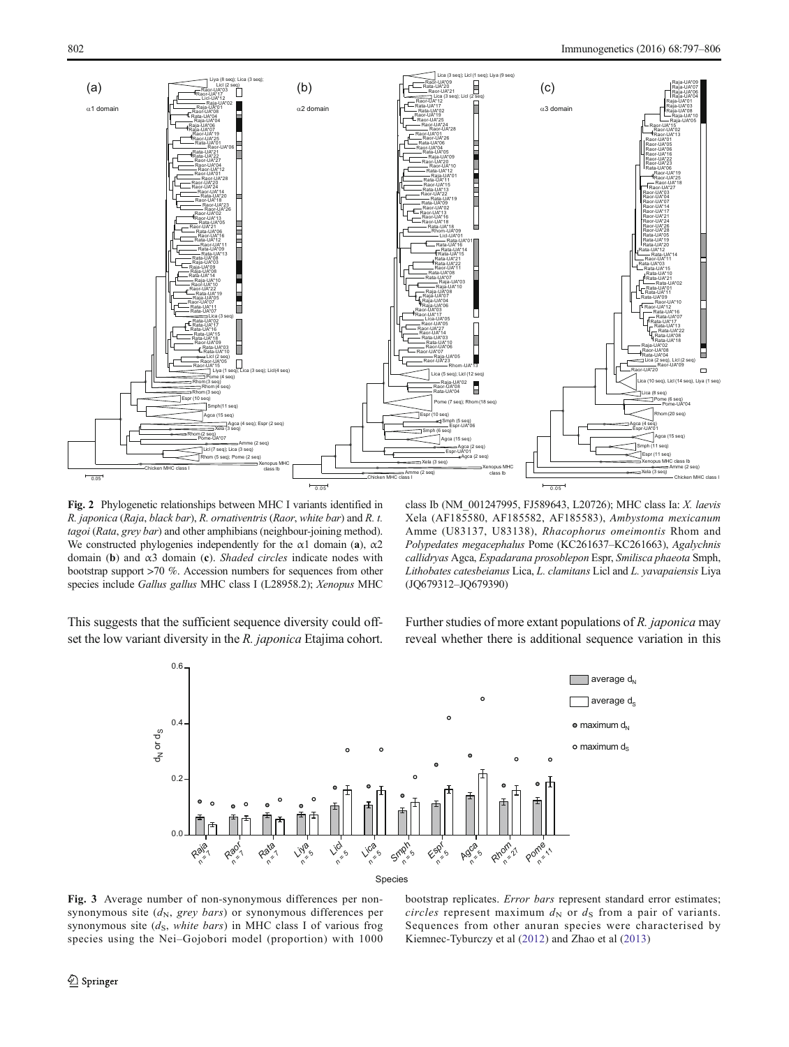<span id="page-5-0"></span>

Fig. 2 Phylogenetic relationships between MHC I variants identified in R. japonica (Raja, black bar), R. ornativentris (Raor, white bar) and R. t. tagoi (Rata, grey bar) and other amphibians (neighbour-joining method). We constructed phylogenies independently for the  $\alpha$ 1 domain (a),  $\alpha$ 2 domain (b) and  $\alpha$ 3 domain (c). Shaded circles indicate nodes with bootstrap support >70 %. Accession numbers for sequences from other species include Gallus gallus MHC class I (L28958.2); Xenopus MHC

class Ib (NM\_001247995, FJ589643, L20726); MHC class Ia: X. laevis Xela (AF185580, AF185582, AF185583), Ambystoma mexicanum Amme (U83137, U83138), Rhacophorus omeimontis Rhom and Polypedates megacephalus Pome (KC261637–KC261663), Agalychnis callidryas Agca, Espadarana prosoblepon Espr, Smilisca phaeota Smph, Lithobates catesbeianus Lica, L. clamitans Licl and L. yavapaiensis Liya (JQ679312–JQ679390)

This suggests that the sufficient sequence diversity could offset the low variant diversity in the R. japonica Etajima cohort. Further studies of more extant populations of R. japonica may reveal whether there is additional sequence variation in this



Fig. 3 Average number of non-synonymous differences per nonsynonymous site  $(d_N, \text{grey bars})$  or synonymous differences per synonymous site  $(d<sub>S</sub>, white bars)$  in MHC class I of various frog species using the Nei–Gojobori model (proportion) with 1000

bootstrap replicates. Error bars represent standard error estimates; circles represent maximum  $d_N$  or  $d_S$  from a pair of variants. Sequences from other anuran species were characterised by Kiemnec-Tyburczy et al [\(2012\)](#page-9-0) and Zhao et al [\(2013](#page-9-0))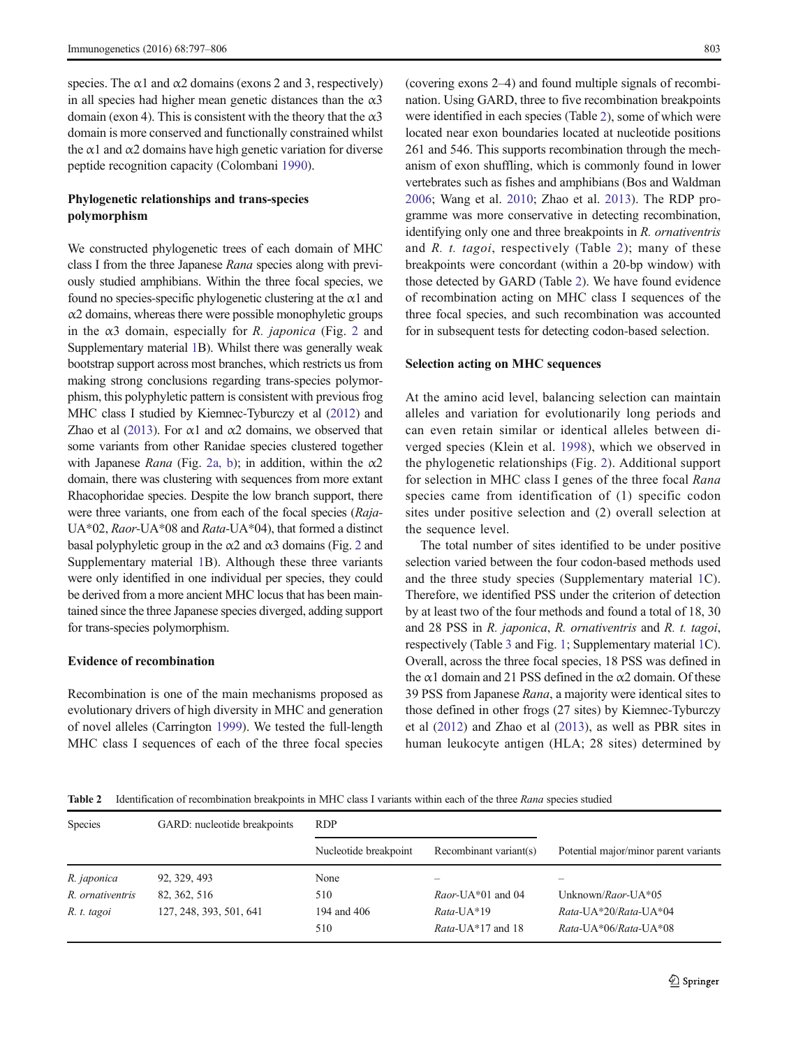species. The  $\alpha$ 1 and  $\alpha$ 2 domains (exons 2 and 3, respectively) in all species had higher mean genetic distances than the  $\alpha$ 3 domain (exon 4). This is consistent with the theory that the  $\alpha$ 3 domain is more conserved and functionally constrained whilst the  $\alpha$ 1 and  $\alpha$ 2 domains have high genetic variation for diverse peptide recognition capacity (Colombani [1990](#page-8-0)).

# Phylogenetic relationships and trans-species polymorphism

We constructed phylogenetic trees of each domain of MHC class I from the three Japanese Rana species along with previously studied amphibians. Within the three focal species, we found no species-specific phylogenetic clustering at the  $\alpha$ 1 and  $\alpha$ 2 domains, whereas there were possible monophyletic groups in the  $\alpha$ 3 domain, especially for *R. japonica* (Fig. [2](#page-5-0) and Supplementary material 1B). Whilst there was generally weak bootstrap support across most branches, which restricts us from making strong conclusions regarding trans-species polymorphism, this polyphyletic pattern is consistent with previous frog MHC class I studied by Kiemnec-Tyburczy et al [\(2012\)](#page-9-0) and Zhao et al [\(2013\)](#page-9-0). For  $\alpha$ 1 and  $\alpha$ 2 domains, we observed that some variants from other Ranidae species clustered together with Japanese Rana (Fig. [2a, b\)](#page-5-0); in addition, within the  $\alpha$ 2 domain, there was clustering with sequences from more extant Rhacophoridae species. Despite the low branch support, there were three variants, one from each of the focal species (Raja-UA\*02, Raor-UA\*08 and Rata-UA\*04), that formed a distinct basal polyphyletic group in the  $\alpha$ [2](#page-5-0) and  $\alpha$ 3 domains (Fig. 2 and Supplementary material 1B). Although these three variants were only identified in one individual per species, they could be derived from a more ancient MHC locus that has been maintained since the three Japanese species diverged, adding support for trans-species polymorphism.

# Evidence of recombination

Recombination is one of the main mechanisms proposed as evolutionary drivers of high diversity in MHC and generation of novel alleles (Carrington [1999\)](#page-8-0). We tested the full-length MHC class I sequences of each of the three focal species (covering exons 2–4) and found multiple signals of recombination. Using GARD, three to five recombination breakpoints were identified in each species (Table 2), some of which were located near exon boundaries located at nucleotide positions 261 and 546. This supports recombination through the mechanism of exon shuffling, which is commonly found in lower vertebrates such as fishes and amphibians (Bos and Waldman [2006;](#page-8-0) Wang et al. [2010;](#page-9-0) Zhao et al. [2013\)](#page-9-0). The RDP programme was more conservative in detecting recombination, identifying only one and three breakpoints in R. *ornativentris* and R. t. tagoi, respectively (Table 2); many of these breakpoints were concordant (within a 20-bp window) with those detected by GARD (Table 2). We have found evidence of recombination acting on MHC class I sequences of the three focal species, and such recombination was accounted for in subsequent tests for detecting codon-based selection.

#### Selection acting on MHC sequences

At the amino acid level, balancing selection can maintain alleles and variation for evolutionarily long periods and can even retain similar or identical alleles between diverged species (Klein et al. [1998\)](#page-9-0), which we observed in the phylogenetic relationships (Fig. [2\)](#page-5-0). Additional support for selection in MHC class I genes of the three focal Rana species came from identification of (1) specific codon sites under positive selection and (2) overall selection at the sequence level.

The total number of sites identified to be under positive selection varied between the four codon-based methods used and the three study species (Supplementary material 1C). Therefore, we identified PSS under the criterion of detection by at least two of the four methods and found a total of 18, 30 and 28 PSS in R. japonica, R. ornativentris and R. t. tagoi, respectively (Table [3](#page-3-0) and Fig. [1;](#page-4-0) Supplementary material 1C). Overall, across the three focal species, 18 PSS was defined in the  $\alpha$ 1 domain and 21 PSS defined in the  $\alpha$ 2 domain. Of these 39 PSS from Japanese Rana, a majority were identical sites to those defined in other frogs (27 sites) by Kiemnec-Tyburczy et al [\(2012\)](#page-9-0) and Zhao et al ([2013](#page-9-0)), as well as PBR sites in human leukocyte antigen (HLA; 28 sites) determined by

Table 2 Identification of recombination breakpoints in MHC class I variants within each of the three Rana species studied

| <b>Species</b>   | GARD: nucleotide breakpoints | <b>RDP</b>            |                                       |                                                |
|------------------|------------------------------|-----------------------|---------------------------------------|------------------------------------------------|
|                  |                              | Nucleotide breakpoint | Recombinant variant(s)                | Potential major/minor parent variants          |
| R. japonica      | 92, 329, 493                 | None                  | -                                     |                                                |
| R. ornativentris | 82, 362, 516                 | 510                   | $Raor-UA*01$ and 04                   | Unknown/Raor-UA*05                             |
| R. t. tagoi      | 127, 248, 393, 501, 641      | 194 and 406<br>510    | Rata-UA*19<br>$Rata$ -UA $*17$ and 18 | Rata-UA*20/Rata-UA*04<br>Rata-UA*06/Rata-UA*08 |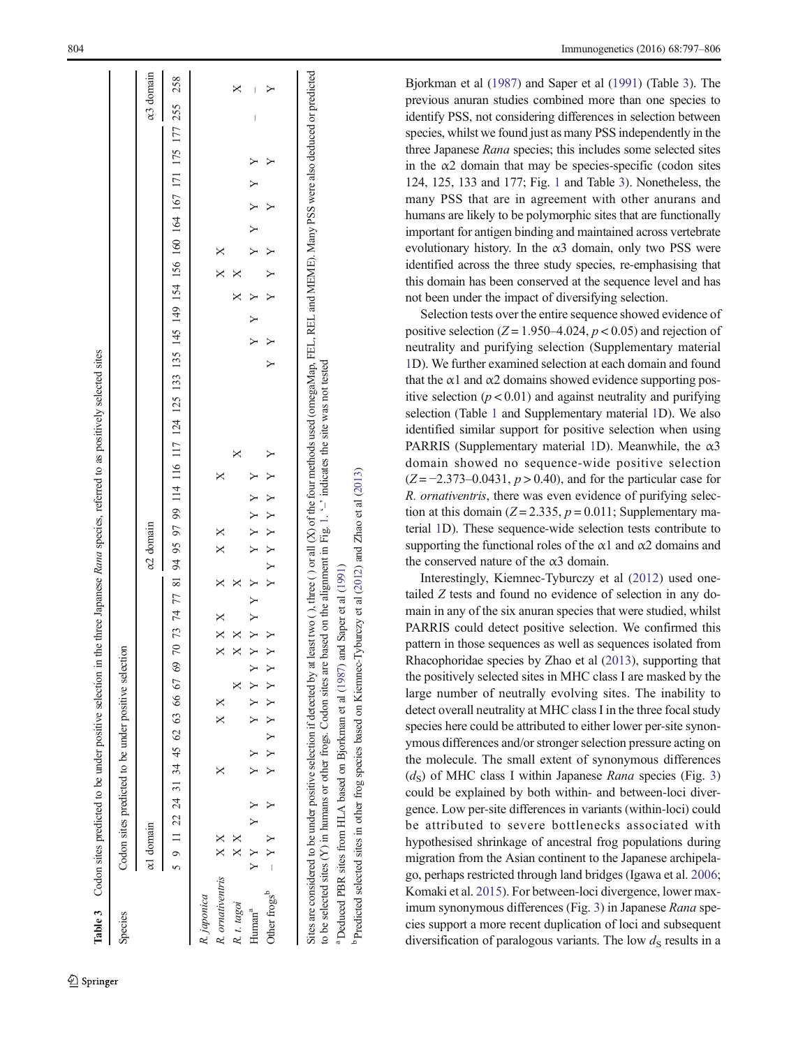| Species                         | Codon sites predicted to be under positive selection                                                                                                                                                                                                                                                                                                         |     |                       |  |      |         |         |                   |      |  |  |  |  |  |  |   |                   |  |
|---------------------------------|--------------------------------------------------------------------------------------------------------------------------------------------------------------------------------------------------------------------------------------------------------------------------------------------------------------------------------------------------------------|-----|-----------------------|--|------|---------|---------|-------------------|------|--|--|--|--|--|--|---|-------------------|--|
|                                 | $\alpha$ 1 domain                                                                                                                                                                                                                                                                                                                                            |     |                       |  |      |         |         | $\alpha$ 2 domain |      |  |  |  |  |  |  |   | $\alpha$ 3 domain |  |
|                                 | 5 9 11 22 24 34 45 62 63 66 67 69 70 73 74 77 81 94 95 97 99 114 116 117 124 125 133 133 135 145 145 146 154 156 160 164 167 171 175 177 255 258                                                                                                                                                                                                             |     |                       |  |      |         |         |                   |      |  |  |  |  |  |  |   |                   |  |
| R. ornativentris<br>R. japonica | X X                                                                                                                                                                                                                                                                                                                                                          |     | $_{\rm X}$ $_{\rm X}$ |  |      | X X X X |         | $X \times$        |      |  |  |  |  |  |  |   |                   |  |
| R. t. tagoi                     | $_{\rm X}$ $_{\rm X}$                                                                                                                                                                                                                                                                                                                                        |     |                       |  |      |         |         |                   |      |  |  |  |  |  |  |   |                   |  |
| Human <sup>a</sup>              | YYYY                                                                                                                                                                                                                                                                                                                                                         | Y Y |                       |  | YYYY |         |         |                   | YYY` |  |  |  |  |  |  | I |                   |  |
| Other frogs <sup>b</sup>        | $Y Y -$                                                                                                                                                                                                                                                                                                                                                      |     | YYYYYY                |  |      |         | YYYYYYY |                   |      |  |  |  |  |  |  |   |                   |  |
|                                 |                                                                                                                                                                                                                                                                                                                                                              |     |                       |  |      |         |         |                   |      |  |  |  |  |  |  |   |                   |  |
|                                 | Sites are considered to be under positive selection if detected by at least two (), three () or all (X) of the four methods used (omegaMap, FEL, REL and MEME). Many PSS were also deduced or predicted<br>to be selected sites (Y) in humans or other frogs. Codon sites are based on the alignment in Fig. 1. $^{\circ}$ indicates the site was not tested |     |                       |  |      |         |         |                   |      |  |  |  |  |  |  |   |                   |  |

a

Deduced PBR sites from HLA based on Bjorkman et al [\(1987\)](#page-8-0) and Saper et al [\(1991](#page-9-0))

Deduced PBR sites from HLA based on Bjorkman et al (1987) and Saper et al (1991)

b Predicted selected sites in other frog species based on Kiemnec-Tyburczy et al ([2012](#page-9-0)) and Zhao et al [\(2013\)](#page-9-0)

Predicted selected sites in other frog

species based on Kiemnec-Tyburczy et al (2012) and Zhao et al (2013)

Table 3

Codon sites predicted to be under positive selection in the three Japanese Rana species, referred to as positively selected sites

Codon sites predicted to be under positive selection in the three Japanese Rana species, referred to as positively selected sites

Bjorkman et al [\(1987\)](#page-8-0) and Saper et al [\(1991\)](#page-9-0) (Table [3](#page-3-0)). The previous anuran studies combined more than one species to identify PSS, not considering differences in selection between species, whilst we found just as many PSS independently in the three Japanese Rana species; this includes some selected sites in the  $\alpha$ 2 domain that may be species-specific (codon sites 124, 125, 133 and 177; Fig. [1](#page-4-0) and Table [3](#page-3-0)). Nonetheless, the many PSS that are in agreement with other anurans and humans are likely to be polymorphic sites that are functionally important for antigen binding and maintained across vertebrate evolutionary history. In the  $\alpha$ 3 domain, only two PSS were identified across the three study species, re-emphasising that this domain has been conserved at the sequence level and has not been under the impact of diversifying selection.

Selection tests over the entire sequence showed evidence of positive selection  $(Z = 1.950 - 4.024, p < 0.05)$  and rejection of neutrality and purifying selection (Supplementary material 1D). We further examined selection at each domain and found that the  $\alpha$ 1 and  $\alpha$ 2 domains showed evidence supporting positive selection  $(p < 0.01)$  and against neutrality and purifying selection (Table [1](#page-3-0) and Supplementary material 1D). We also identified similar support for positive selection when using PARRIS (Supplementary material 1D). Meanwhile, the  $\alpha$ 3 domain showed no sequence-wide positive selection  $(Z = -2.373 - 0.0431, p > 0.40)$ , and for the particular case for R. ornativentris, there was even evidence of purifying selection at this domain ( $Z = 2.335$ ,  $p = 0.011$ ; Supplementary material 1D). These sequence-wide selection tests contribute to supporting the functional roles of the  $\alpha$ 1 and  $\alpha$ 2 domains and the conserved nature of the  $\alpha$ 3 domain.

Interestingly, Kiemnec-Tyburczy et al ([2012\)](#page-9-0) used onetailed Z tests and found no evidence of selection in any domain in any of the six anuran species that were studied, whilst PARRIS could detect positive selection. We confirmed this pattern in those sequences as well as sequences isolated from Rhacophoridae species by Zhao et al [\(2013\)](#page-9-0), supporting that the positively selected sites in MHC class I are masked by the large number of neutrally evolving sites. The inability to detect overall neutrality at MHC class I in the three focal study species here could be attributed to either lower per-site synonymous differences and/or stronger selection pressure acting on the molecule. The small extent of synonymous differences  $(d<sub>S</sub>)$  of MHC class I within Japanese Rana species (Fig. [3](#page-5-0)) could be explained by both within- and between-loci divergence. Low per-site differences in variants (within-loci) could be attributed to severe bottlenecks associated with hypothesised shrinkage of ancestral frog populations during migration from the Asian continent to the Japanese archipelago, perhaps restricted through land bridges (Igawa et al. [2006;](#page-8-0) Komaki et al. [2015](#page-9-0)). For between-loci divergence, lower maximum synonymous differences (Fig. [3](#page-5-0)) in Japanese Rana species support a more recent duplication of loci and subsequent diversification of paralogous variants. The low  $d<sub>S</sub>$  results in a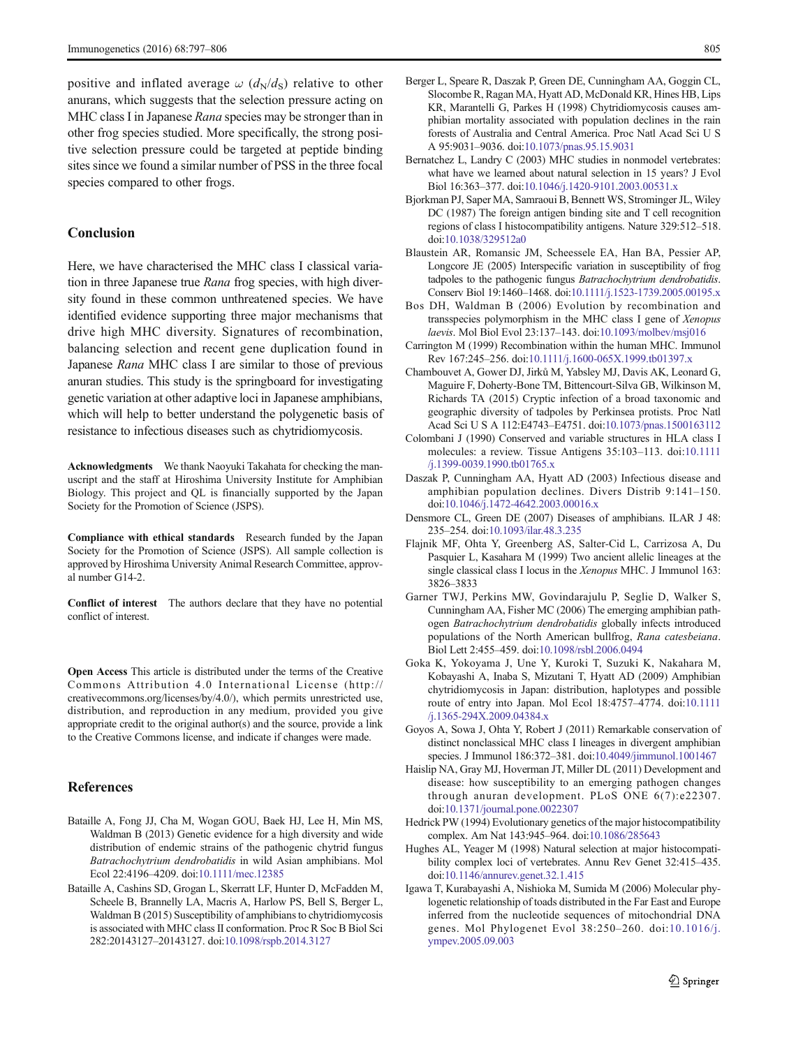<span id="page-8-0"></span>positive and inflated average  $\omega$  ( $d_N/d_S$ ) relative to other anurans, which suggests that the selection pressure acting on MHC class I in Japanese Rana species may be stronger than in other frog species studied. More specifically, the strong positive selection pressure could be targeted at peptide binding sites since we found a similar number of PSS in the three focal species compared to other frogs.

## **Conclusion**

Here, we have characterised the MHC class I classical variation in three Japanese true Rana frog species, with high diversity found in these common unthreatened species. We have identified evidence supporting three major mechanisms that drive high MHC diversity. Signatures of recombination, balancing selection and recent gene duplication found in Japanese Rana MHC class I are similar to those of previous anuran studies. This study is the springboard for investigating genetic variation at other adaptive loci in Japanese amphibians, which will help to better understand the polygenetic basis of resistance to infectious diseases such as chytridiomycosis.

Acknowledgments We thank Naoyuki Takahata for checking the manuscript and the staff at Hiroshima University Institute for Amphibian Biology. This project and QL is financially supported by the Japan Society for the Promotion of Science (JSPS).

Compliance with ethical standards Research funded by the Japan Society for the Promotion of Science (JSPS). All sample collection is approved by Hiroshima University Animal Research Committee, approval number G14-2.

Conflict of interest The authors declare that they have no potential conflict of interest.

Open Access This article is distributed under the terms of the Creative Commons Attribution 4.0 International License (http:// creativecommons.org/licenses/by/4.0/), which permits unrestricted use, distribution, and reproduction in any medium, provided you give appropriate credit to the original author(s) and the source, provide a link to the Creative Commons license, and indicate if changes were made.

#### References

- Bataille A, Fong JJ, Cha M, Wogan GOU, Baek HJ, Lee H, Min MS, Waldman B (2013) Genetic evidence for a high diversity and wide distribution of endemic strains of the pathogenic chytrid fungus Batrachochytrium dendrobatidis in wild Asian amphibians. Mol Ecol 22:4196–4209. doi:[10.1111/mec.12385](http://dx.doi.org/10.1111/mec.12385)
- Bataille A, Cashins SD, Grogan L, Skerratt LF, Hunter D, McFadden M, Scheele B, Brannelly LA, Macris A, Harlow PS, Bell S, Berger L, Waldman B (2015) Susceptibility of amphibians to chytridiomycosis is associated with MHC class II conformation. Proc R Soc B Biol Sci 282:20143127–20143127. doi:[10.1098/rspb.2014.3127](http://dx.doi.org/10.1098/rspb.2014.3127)
- Berger L, Speare R, Daszak P, Green DE, Cunningham AA, Goggin CL, Slocombe R, Ragan MA, Hyatt AD, McDonald KR, Hines HB, Lips KR, Marantelli G, Parkes H (1998) Chytridiomycosis causes amphibian mortality associated with population declines in the rain forests of Australia and Central America. Proc Natl Acad Sci U S A 95:9031–9036. doi[:10.1073/pnas.95.15.9031](http://dx.doi.org/10.1073/pnas.95.15.9031)
- Bernatchez L, Landry C (2003) MHC studies in nonmodel vertebrates: what have we learned about natural selection in 15 years? J Evol Biol 16:363–377. doi[:10.1046/j.1420-9101.2003.00531.x](http://dx.doi.org/10.1046/j.1420-9101.2003.00531.x)
- Bjorkman PJ, Saper MA, Samraoui B, Bennett WS, Strominger JL, Wiley DC (1987) The foreign antigen binding site and T cell recognition regions of class I histocompatibility antigens. Nature 329:512–518. doi:[10.1038/329512a0](http://dx.doi.org/10.1038/329512a0)
- Blaustein AR, Romansic JM, Scheessele EA, Han BA, Pessier AP, Longcore JE (2005) Interspecific variation in susceptibility of frog tadpoles to the pathogenic fungus Batrachochytrium dendrobatidis. Conserv Biol 19:1460–1468. doi[:10.1111/j.1523-1739.2005.00195.x](http://dx.doi.org/10.1111/j.1523-1739.2005.00195.x)
- Bos DH, Waldman B (2006) Evolution by recombination and transspecies polymorphism in the MHC class I gene of Xenopus laevis. Mol Biol Evol 23:137–143. doi:[10.1093/molbev/msj016](http://dx.doi.org/10.1093/molbev/msj016)
- Carrington M (1999) Recombination within the human MHC. Immunol Rev 167:245–256. doi[:10.1111/j.1600-065X.1999.tb01397.x](http://dx.doi.org/10.1111/j.1600-065X.1999.tb01397.x)
- Chambouvet A, Gower DJ, Jirků M, Yabsley MJ, Davis AK, Leonard G, Maguire F, Doherty-Bone TM, Bittencourt-Silva GB, Wilkinson M, Richards TA (2015) Cryptic infection of a broad taxonomic and geographic diversity of tadpoles by Perkinsea protists. Proc Natl Acad Sci U S A 112:E4743–E4751. doi[:10.1073/pnas.1500163112](http://dx.doi.org/10.1073/pnas.1500163112)
- Colombani J (1990) Conserved and variable structures in HLA class I molecules: a review. Tissue Antigens 35:103–113. doi[:10.1111](http://dx.doi.org/10.1111/j.1399-0039.1990.tb01765.x) [/j.1399-0039.1990.tb01765.x](http://dx.doi.org/10.1111/j.1399-0039.1990.tb01765.x)
- Daszak P, Cunningham AA, Hyatt AD (2003) Infectious disease and amphibian population declines. Divers Distrib 9:141–150. doi:[10.1046/j.1472-4642.2003.00016.x](http://dx.doi.org/10.1046/j.1472-4642.2003.00016.x)
- Densmore CL, Green DE (2007) Diseases of amphibians. ILAR J 48: 235–254. doi[:10.1093/ilar.48.3.235](http://dx.doi.org/10.1093/ilar.48.3.235)
- Flajnik MF, Ohta Y, Greenberg AS, Salter-Cid L, Carrizosa A, Du Pasquier L, Kasahara M (1999) Two ancient allelic lineages at the single classical class I locus in the Xenopus MHC. J Immunol 163: 3826–3833
- Garner TWJ, Perkins MW, Govindarajulu P, Seglie D, Walker S, Cunningham AA, Fisher MC (2006) The emerging amphibian pathogen Batrachochytrium dendrobatidis globally infects introduced populations of the North American bullfrog, Rana catesbeiana. Biol Lett 2:455–459. doi[:10.1098/rsbl.2006.0494](http://dx.doi.org/10.1098/rsbl.2006.0494)
- Goka K, Yokoyama J, Une Y, Kuroki T, Suzuki K, Nakahara M, Kobayashi A, Inaba S, Mizutani T, Hyatt AD (2009) Amphibian chytridiomycosis in Japan: distribution, haplotypes and possible route of entry into Japan. Mol Ecol 18:4757–4774. doi:[10.1111](http://dx.doi.org/10.1111/j.1365-294X.2009.04384.x) [/j.1365-294X.2009.04384.x](http://dx.doi.org/10.1111/j.1365-294X.2009.04384.x)
- Goyos A, Sowa J, Ohta Y, Robert J (2011) Remarkable conservation of distinct nonclassical MHC class I lineages in divergent amphibian species. J Immunol 186:372–381. doi[:10.4049/jimmunol.1001467](http://dx.doi.org/10.4049/jimmunol.1001467)
- Haislip NA, Gray MJ, Hoverman JT, Miller DL (2011) Development and disease: how susceptibility to an emerging pathogen changes through anuran development. PLoS ONE 6(7):e22307. doi:[10.1371/journal.pone.0022307](http://dx.doi.org/10.1371/journal.pone.0022307)
- Hedrick PW (1994) Evolutionary genetics of the major histocompatibility complex. Am Nat 143:945–964. doi[:10.1086/285643](http://dx.doi.org/10.1086/285643)
- Hughes AL, Yeager M (1998) Natural selection at major histocompatibility complex loci of vertebrates. Annu Rev Genet 32:415–435. doi:[10.1146/annurev.genet.32.1.415](http://dx.doi.org/10.1146/annurev.genet.32.1.415)
- Igawa T, Kurabayashi A, Nishioka M, Sumida M (2006) Molecular phylogenetic relationship of toads distributed in the Far East and Europe inferred from the nucleotide sequences of mitochondrial DNA genes. Mol Phylogenet Evol 38:250–260. doi:[10.1016/j.](http://dx.doi.org/10.1016/j.ympev.2005.09.003) [ympev.2005.09.003](http://dx.doi.org/10.1016/j.ympev.2005.09.003)